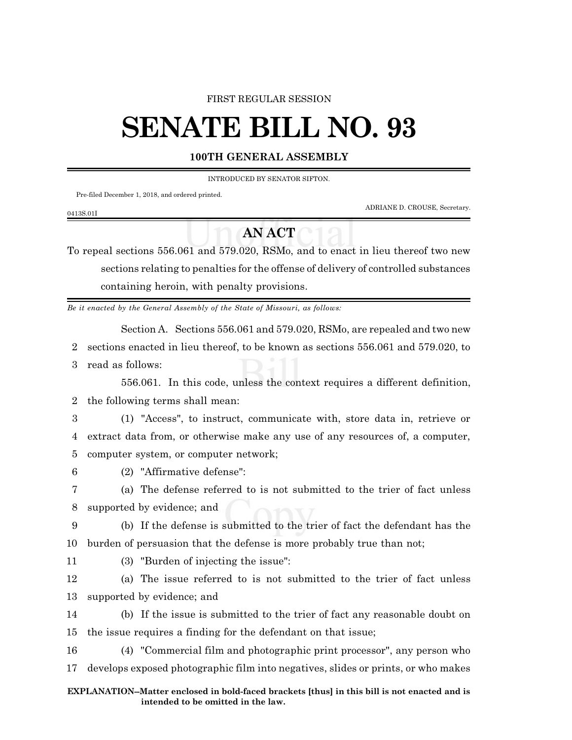## FIRST REGULAR SESSION

## **SENATE BILL NO. 93**

## **100TH GENERAL ASSEMBLY**

INTRODUCED BY SENATOR SIFTON.

Pre-filed December 1, 2018, and ordered printed.

ADRIANE D. CROUSE, Secretary.

## **AN ACT**

To repeal sections 556.061 and 579.020, RSMo, and to enact in lieu thereof two new sections relating to penalties for the offense of delivery of controlled substances containing heroin, with penalty provisions.

*Be it enacted by the General Assembly of the State of Missouri, as follows:*

Section A. Sections 556.061 and 579.020, RSMo, are repealed and two new

2 sections enacted in lieu thereof, to be known as sections 556.061 and 579.020, to

3 read as follows:

0413S.01I

556.061. In this code, unless the context requires a different definition, 2 the following terms shall mean:

3 (1) "Access", to instruct, communicate with, store data in, retrieve or 4 extract data from, or otherwise make any use of any resources of, a computer, 5 computer system, or computer network;

6 (2) "Affirmative defense":

7 (a) The defense referred to is not submitted to the trier of fact unless 8 supported by evidence; and

9 (b) If the defense is submitted to the trier of fact the defendant has the 10 burden of persuasion that the defense is more probably true than not;

- 
- 11 (3) "Burden of injecting the issue":

12 (a) The issue referred to is not submitted to the trier of fact unless 13 supported by evidence; and

14 (b) If the issue is submitted to the trier of fact any reasonable doubt on 15 the issue requires a finding for the defendant on that issue;

16 (4) "Commercial film and photographic print processor", any person who 17 develops exposed photographic film into negatives, slides or prints, or who makes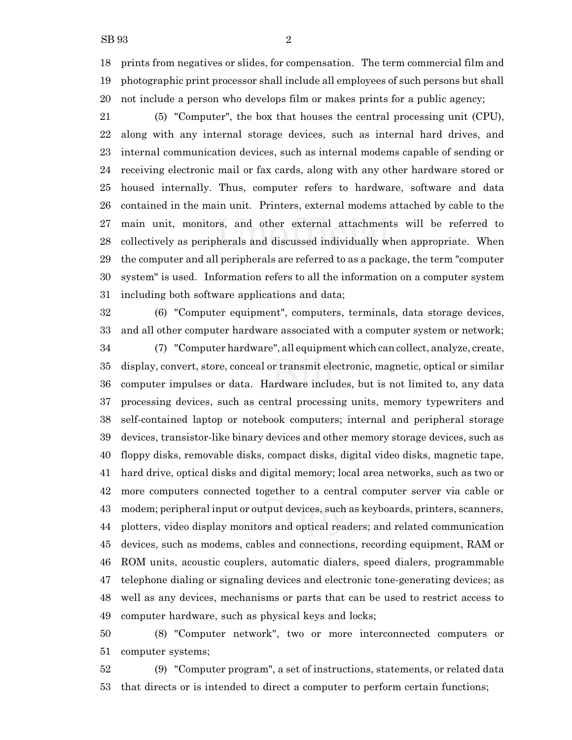prints from negatives or slides, for compensation. The term commercial film and photographic print processor shall include all employees of such persons but shall not include a person who develops film or makes prints for a public agency;

 (5) "Computer", the box that houses the central processing unit (CPU), along with any internal storage devices, such as internal hard drives, and internal communication devices, such as internal modems capable of sending or receiving electronic mail or fax cards, along with any other hardware stored or housed internally. Thus, computer refers to hardware, software and data contained in the main unit. Printers, external modems attached by cable to the main unit, monitors, and other external attachments will be referred to collectively as peripherals and discussed individually when appropriate. When the computer and all peripherals are referred to as a package, the term "computer system" is used. Information refers to all the information on a computer system including both software applications and data;

 (6) "Computer equipment", computers, terminals, data storage devices, and all other computer hardware associated with a computer system or network; (7) "Computer hardware", all equipment which can collect, analyze, create, display, convert, store, conceal or transmit electronic, magnetic, optical or similar computer impulses or data. Hardware includes, but is not limited to, any data processing devices, such as central processing units, memory typewriters and self-contained laptop or notebook computers; internal and peripheral storage devices, transistor-like binary devices and other memory storage devices, such as floppy disks, removable disks, compact disks, digital video disks, magnetic tape, hard drive, optical disks and digital memory; local area networks, such as two or more computers connected together to a central computer server via cable or modem; peripheral input or output devices, such as keyboards, printers, scanners, plotters, video display monitors and optical readers; and related communication devices, such as modems, cables and connections, recording equipment, RAM or ROM units, acoustic couplers, automatic dialers, speed dialers, programmable telephone dialing or signaling devices and electronic tone-generating devices; as well as any devices, mechanisms or parts that can be used to restrict access to computer hardware, such as physical keys and locks;

 (8) "Computer network", two or more interconnected computers or computer systems;

 (9) "Computer program", a set of instructions, statements, or related data that directs or is intended to direct a computer to perform certain functions;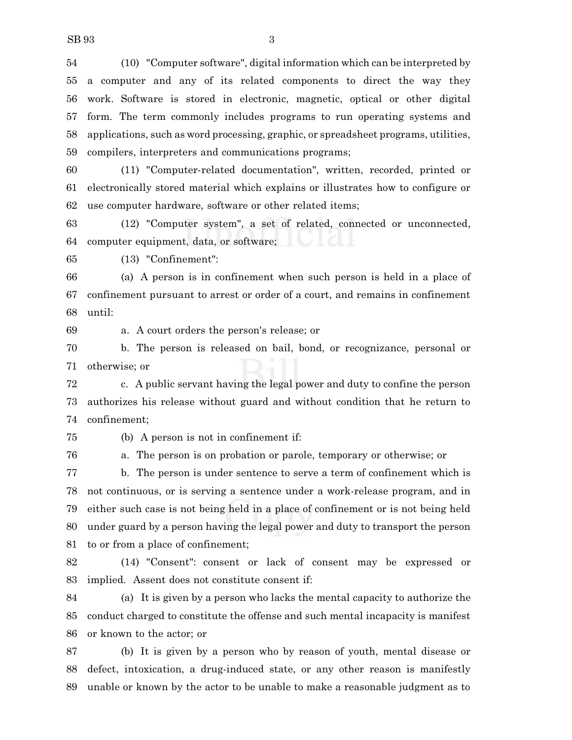(10) "Computer software", digital information which can be interpreted by a computer and any of its related components to direct the way they work. Software is stored in electronic, magnetic, optical or other digital form. The term commonly includes programs to run operating systems and applications, such as word processing, graphic, or spreadsheet programs, utilities, compilers, interpreters and communications programs;

 (11) "Computer-related documentation", written, recorded, printed or electronically stored material which explains or illustrates how to configure or use computer hardware, software or other related items;

 (12) "Computer system", a set of related, connected or unconnected, computer equipment, data, or software;

(13) "Confinement":

 (a) A person is in confinement when such person is held in a place of confinement pursuant to arrest or order of a court, and remains in confinement until:

a. A court orders the person's release; or

 b. The person is released on bail, bond, or recognizance, personal or otherwise; or

 c. A public servant having the legal power and duty to confine the person authorizes his release without guard and without condition that he return to confinement;

(b) A person is not in confinement if:

a. The person is on probation or parole, temporary or otherwise; or

 b. The person is under sentence to serve a term of confinement which is not continuous, or is serving a sentence under a work-release program, and in either such case is not being held in a place of confinement or is not being held under guard by a person having the legal power and duty to transport the person to or from a place of confinement;

 (14) "Consent": consent or lack of consent may be expressed or implied. Assent does not constitute consent if:

 (a) It is given by a person who lacks the mental capacity to authorize the conduct charged to constitute the offense and such mental incapacity is manifest or known to the actor; or

 (b) It is given by a person who by reason of youth, mental disease or defect, intoxication, a drug-induced state, or any other reason is manifestly unable or known by the actor to be unable to make a reasonable judgment as to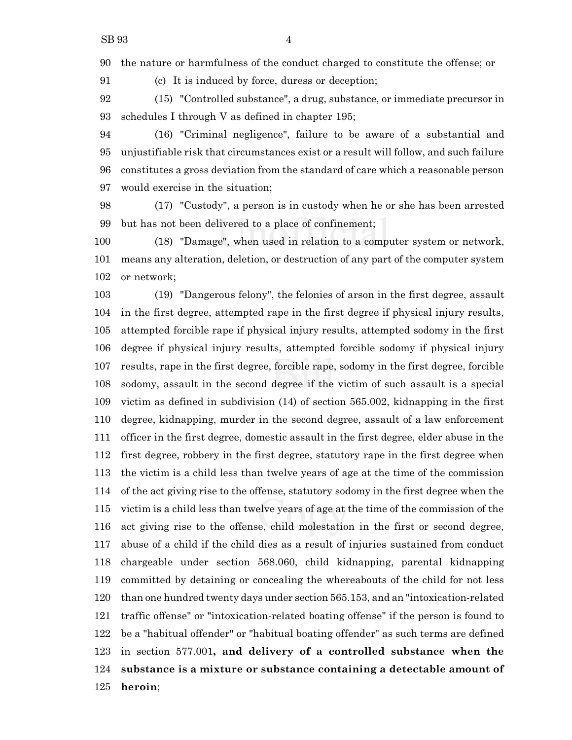the nature or harmfulness of the conduct charged to constitute the offense; or

(c) It is induced by force, duress or deception;

 (15) "Controlled substance", a drug, substance, or immediate precursor in schedules I through V as defined in chapter 195;

 (16) "Criminal negligence", failure to be aware of a substantial and unjustifiable risk that circumstances exist or a result will follow, and such failure constitutes a gross deviation from the standard of care which a reasonable person would exercise in the situation;

 (17) "Custody", a person is in custody when he or she has been arrested but has not been delivered to a place of confinement;

 (18) "Damage", when used in relation to a computer system or network, means any alteration, deletion, or destruction of any part of the computer system or network;

 (19) "Dangerous felony", the felonies of arson in the first degree, assault in the first degree, attempted rape in the first degree if physical injury results, attempted forcible rape if physical injury results, attempted sodomy in the first degree if physical injury results, attempted forcible sodomy if physical injury results, rape in the first degree, forcible rape, sodomy in the first degree, forcible sodomy, assault in the second degree if the victim of such assault is a special victim as defined in subdivision (14) of section 565.002, kidnapping in the first degree, kidnapping, murder in the second degree, assault of a law enforcement officer in the first degree, domestic assault in the first degree, elder abuse in the first degree, robbery in the first degree, statutory rape in the first degree when the victim is a child less than twelve years of age at the time of the commission of the act giving rise to the offense, statutory sodomy in the first degree when the victim is a child less than twelve years of age at the time of the commission of the act giving rise to the offense, child molestation in the first or second degree, abuse of a child if the child dies as a result of injuries sustained from conduct chargeable under section 568.060, child kidnapping, parental kidnapping committed by detaining or concealing the whereabouts of the child for not less than one hundred twenty days under section 565.153, and an "intoxication-related traffic offense" or "intoxication-related boating offense" if the person is found to be a "habitual offender" or "habitual boating offender" as such terms are defined in section 577.001**, and delivery of a controlled substance when the substance is a mixture or substance containing a detectable amount of heroin**;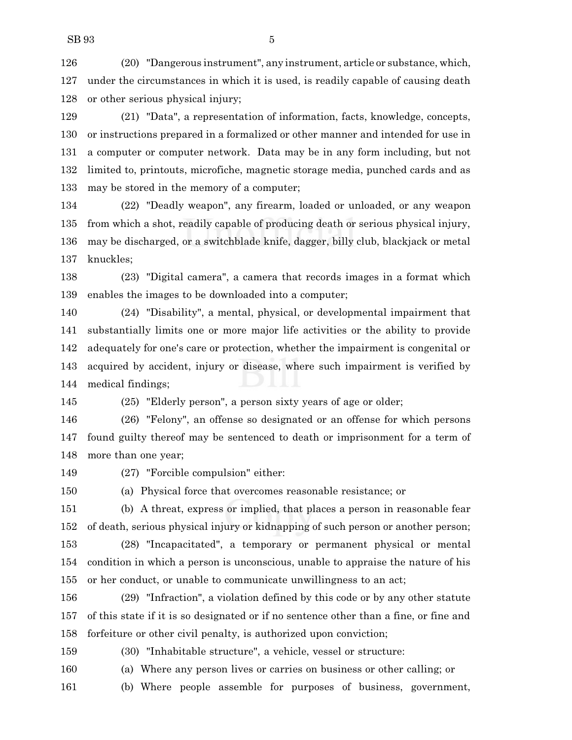(20) "Dangerous instrument", any instrument, article or substance, which, under the circumstances in which it is used, is readily capable of causing death or other serious physical injury;

 (21) "Data", a representation of information, facts, knowledge, concepts, or instructions prepared in a formalized or other manner and intended for use in a computer or computer network. Data may be in any form including, but not limited to, printouts, microfiche, magnetic storage media, punched cards and as may be stored in the memory of a computer;

 (22) "Deadly weapon", any firearm, loaded or unloaded, or any weapon from which a shot, readily capable of producing death or serious physical injury, may be discharged, or a switchblade knife, dagger, billy club, blackjack or metal knuckles;

 (23) "Digital camera", a camera that records images in a format which enables the images to be downloaded into a computer;

 (24) "Disability", a mental, physical, or developmental impairment that substantially limits one or more major life activities or the ability to provide adequately for one's care or protection, whether the impairment is congenital or acquired by accident, injury or disease, where such impairment is verified by medical findings;

(25) "Elderly person", a person sixty years of age or older;

 (26) "Felony", an offense so designated or an offense for which persons found guilty thereof may be sentenced to death or imprisonment for a term of more than one year;

(27) "Forcible compulsion" either:

(a) Physical force that overcomes reasonable resistance; or

 (b) A threat, express or implied, that places a person in reasonable fear of death, serious physical injury or kidnapping of such person or another person;

 (28) "Incapacitated", a temporary or permanent physical or mental condition in which a person is unconscious, unable to appraise the nature of his or her conduct, or unable to communicate unwillingness to an act;

 (29) "Infraction", a violation defined by this code or by any other statute of this state if it is so designated or if no sentence other than a fine, or fine and forfeiture or other civil penalty, is authorized upon conviction;

(30) "Inhabitable structure", a vehicle, vessel or structure:

(a) Where any person lives or carries on business or other calling; or

(b) Where people assemble for purposes of business, government,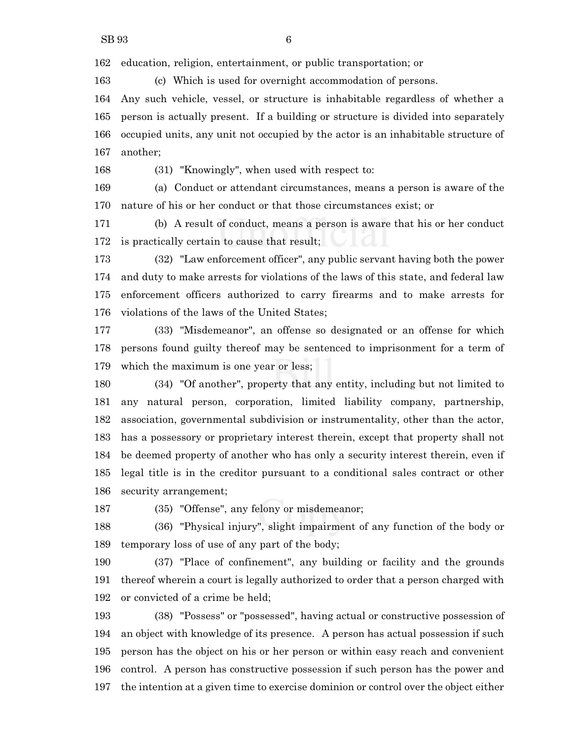education, religion, entertainment, or public transportation; or

(c) Which is used for overnight accommodation of persons.

 Any such vehicle, vessel, or structure is inhabitable regardless of whether a person is actually present. If a building or structure is divided into separately occupied units, any unit not occupied by the actor is an inhabitable structure of another;

(31) "Knowingly", when used with respect to:

 (a) Conduct or attendant circumstances, means a person is aware of the nature of his or her conduct or that those circumstances exist; or

 (b) A result of conduct, means a person is aware that his or her conduct is practically certain to cause that result;

 (32) "Law enforcement officer", any public servant having both the power and duty to make arrests for violations of the laws of this state, and federal law enforcement officers authorized to carry firearms and to make arrests for violations of the laws of the United States;

 (33) "Misdemeanor", an offense so designated or an offense for which persons found guilty thereof may be sentenced to imprisonment for a term of which the maximum is one year or less;

 (34) "Of another", property that any entity, including but not limited to any natural person, corporation, limited liability company, partnership, association, governmental subdivision or instrumentality, other than the actor, has a possessory or proprietary interest therein, except that property shall not be deemed property of another who has only a security interest therein, even if legal title is in the creditor pursuant to a conditional sales contract or other security arrangement;

(35) "Offense", any felony or misdemeanor;

 (36) "Physical injury", slight impairment of any function of the body or temporary loss of use of any part of the body;

 (37) "Place of confinement", any building or facility and the grounds thereof wherein a court is legally authorized to order that a person charged with or convicted of a crime be held;

 (38) "Possess" or "possessed", having actual or constructive possession of an object with knowledge of its presence. A person has actual possession if such person has the object on his or her person or within easy reach and convenient control. A person has constructive possession if such person has the power and the intention at a given time to exercise dominion or control over the object either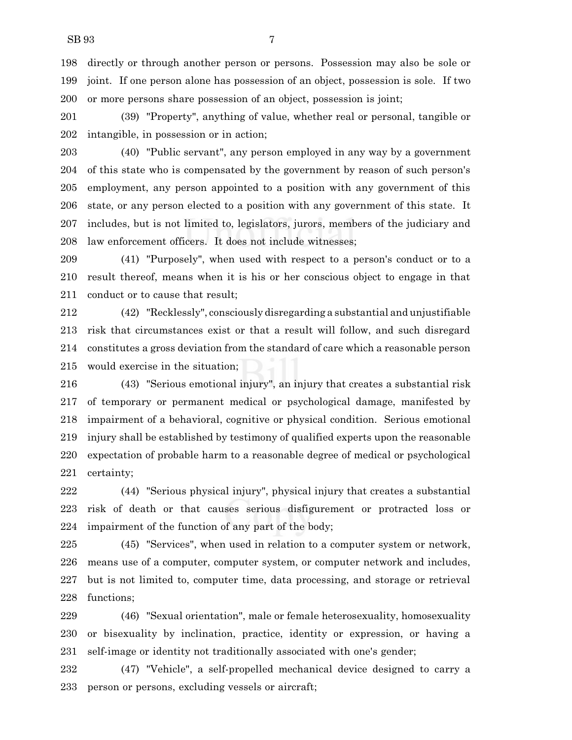directly or through another person or persons. Possession may also be sole or joint. If one person alone has possession of an object, possession is sole. If two or more persons share possession of an object, possession is joint;

 (39) "Property", anything of value, whether real or personal, tangible or intangible, in possession or in action;

 (40) "Public servant", any person employed in any way by a government of this state who is compensated by the government by reason of such person's employment, any person appointed to a position with any government of this state, or any person elected to a position with any government of this state. It includes, but is not limited to, legislators, jurors, members of the judiciary and law enforcement officers. It does not include witnesses;

 (41) "Purposely", when used with respect to a person's conduct or to a result thereof, means when it is his or her conscious object to engage in that conduct or to cause that result;

 (42) "Recklessly", consciously disregarding a substantial and unjustifiable risk that circumstances exist or that a result will follow, and such disregard constitutes a gross deviation from the standard of care which a reasonable person would exercise in the situation;

 (43) "Serious emotional injury", an injury that creates a substantial risk of temporary or permanent medical or psychological damage, manifested by impairment of a behavioral, cognitive or physical condition. Serious emotional injury shall be established by testimony of qualified experts upon the reasonable expectation of probable harm to a reasonable degree of medical or psychological certainty;

 (44) "Serious physical injury", physical injury that creates a substantial risk of death or that causes serious disfigurement or protracted loss or impairment of the function of any part of the body;

 (45) "Services", when used in relation to a computer system or network, means use of a computer, computer system, or computer network and includes, but is not limited to, computer time, data processing, and storage or retrieval functions;

 (46) "Sexual orientation", male or female heterosexuality, homosexuality or bisexuality by inclination, practice, identity or expression, or having a self-image or identity not traditionally associated with one's gender;

 (47) "Vehicle", a self-propelled mechanical device designed to carry a person or persons, excluding vessels or aircraft;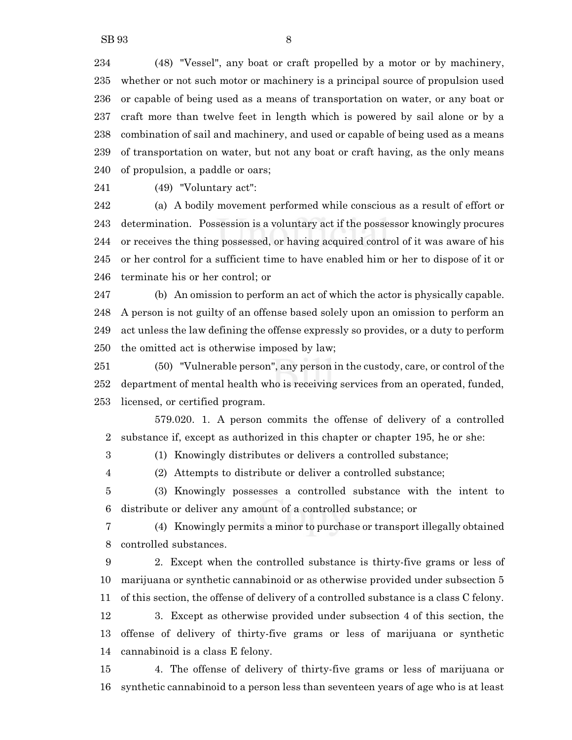(48) "Vessel", any boat or craft propelled by a motor or by machinery, whether or not such motor or machinery is a principal source of propulsion used or capable of being used as a means of transportation on water, or any boat or craft more than twelve feet in length which is powered by sail alone or by a combination of sail and machinery, and used or capable of being used as a means of transportation on water, but not any boat or craft having, as the only means of propulsion, a paddle or oars;

(49) "Voluntary act":

 (a) A bodily movement performed while conscious as a result of effort or determination. Possession is a voluntary act if the possessor knowingly procures or receives the thing possessed, or having acquired control of it was aware of his or her control for a sufficient time to have enabled him or her to dispose of it or terminate his or her control; or

 (b) An omission to perform an act of which the actor is physically capable. A person is not guilty of an offense based solely upon an omission to perform an act unless the law defining the offense expressly so provides, or a duty to perform the omitted act is otherwise imposed by law;

 (50) "Vulnerable person", any person in the custody, care, or control of the department of mental health who is receiving services from an operated, funded, licensed, or certified program.

579.020. 1. A person commits the offense of delivery of a controlled substance if, except as authorized in this chapter or chapter 195, he or she:

(1) Knowingly distributes or delivers a controlled substance;

(2) Attempts to distribute or deliver a controlled substance;

 (3) Knowingly possesses a controlled substance with the intent to distribute or deliver any amount of a controlled substance; or

 (4) Knowingly permits a minor to purchase or transport illegally obtained controlled substances.

 2. Except when the controlled substance is thirty-five grams or less of marijuana or synthetic cannabinoid or as otherwise provided under subsection 5 of this section, the offense of delivery of a controlled substance is a class C felony.

 3. Except as otherwise provided under subsection 4 of this section, the offense of delivery of thirty-five grams or less of marijuana or synthetic cannabinoid is a class E felony.

 4. The offense of delivery of thirty-five grams or less of marijuana or synthetic cannabinoid to a person less than seventeen years of age who is at least